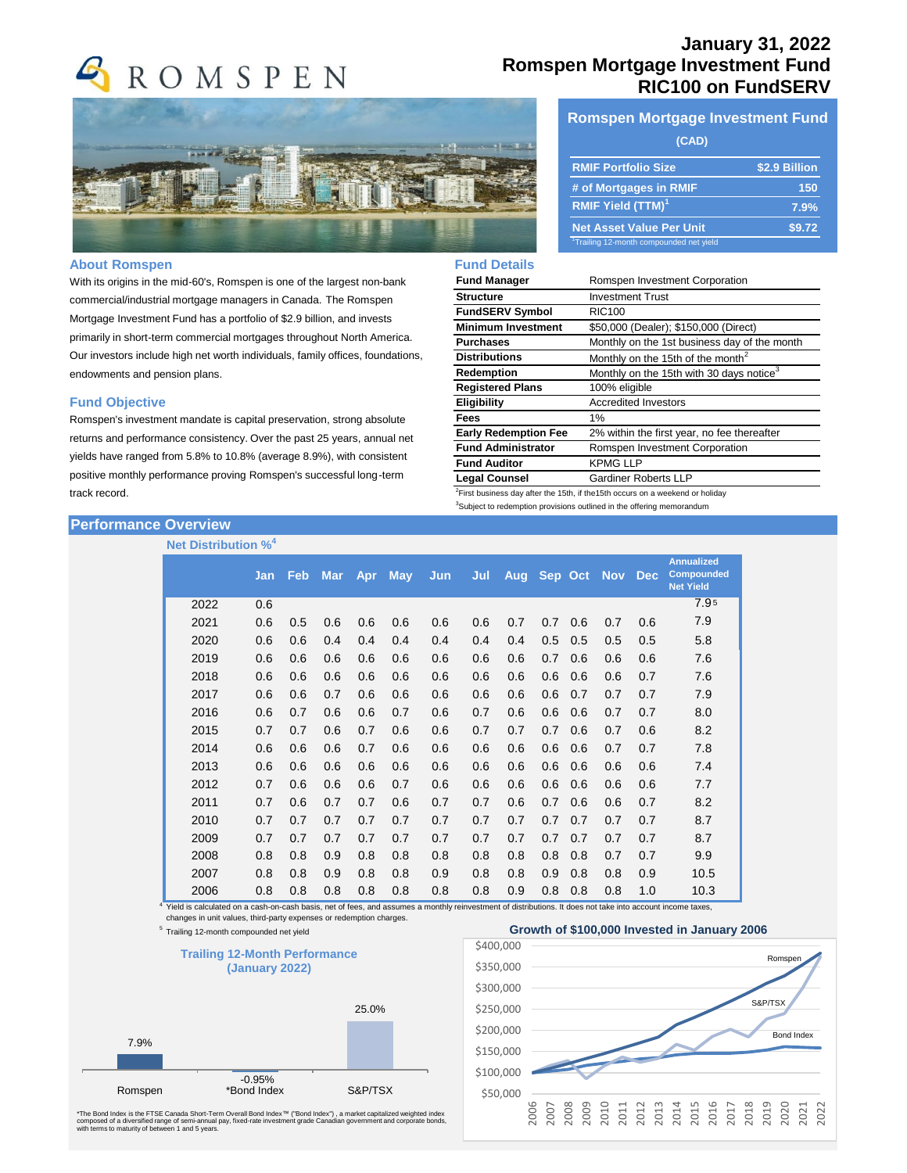



### **About Romspen**

With its origins in the mid-60's, Romspen is one of the largest non-bank commercial/industrial mortgage managers in Canada. The Romspen Mortgage Investment Fund has a portfolio of \$2.9 billion, and invests primarily in short-term commercial mortgages throughout North America. Our investors include high net worth individuals, family offices, foundations, endowments and pension plans.

#### **Fund Objective**

Romspen's investment mandate is capital preservation, strong absolute returns and performance consistency. Over the past 25 years, annual net yields have ranged from 5.8% to 10.8% (average 8.9%), with consistent positive monthly performance proving Romspen's successful long-term track record.

## **Performance Overview**

## **Net Distribution %<sup>4</sup>**

# **January 31, 2022 Romspen Mortgage Investment Fund RIC100 on FundSERV**

### **Romspen Mortgage Investment Fund**

| (CAD)                                               |               |  |  |  |  |  |  |
|-----------------------------------------------------|---------------|--|--|--|--|--|--|
| <b>RMIF Portfolio Size</b>                          | \$2.9 Billion |  |  |  |  |  |  |
| # of Mortgages in RMIF                              | 150           |  |  |  |  |  |  |
| <b>RMIF Yield (TTM)<sup>1</sup></b>                 | 7.9%          |  |  |  |  |  |  |
| <b>Net Asset Value Per Unit</b>                     | \$9.72        |  |  |  |  |  |  |
| <sup>1</sup> Trailing 12-month compounded net yield |               |  |  |  |  |  |  |

### **Fund Details**

| <b>Fund Manager</b>                                                                        | Romspen Investment Corporation                       |  |  |  |  |
|--------------------------------------------------------------------------------------------|------------------------------------------------------|--|--|--|--|
| <b>Structure</b>                                                                           | <b>Investment Trust</b>                              |  |  |  |  |
| <b>FundSERV Symbol</b>                                                                     | <b>RIC100</b>                                        |  |  |  |  |
| <b>Minimum Investment</b>                                                                  | \$50,000 (Dealer); \$150,000 (Direct)                |  |  |  |  |
| <b>Purchases</b>                                                                           | Monthly on the 1st business day of the month         |  |  |  |  |
| <b>Distributions</b>                                                                       | Monthly on the 15th of the month <sup>2</sup>        |  |  |  |  |
| Redemption                                                                                 | Monthly on the 15th with 30 days notice <sup>3</sup> |  |  |  |  |
| <b>Registered Plans</b>                                                                    | 100% eligible                                        |  |  |  |  |
| <b>Eligibility</b>                                                                         | <b>Accredited Investors</b>                          |  |  |  |  |
| Fees                                                                                       | 1%                                                   |  |  |  |  |
| <b>Early Redemption Fee</b>                                                                | 2% within the first year, no fee thereafter          |  |  |  |  |
| <b>Fund Administrator</b>                                                                  | Romspen Investment Corporation                       |  |  |  |  |
| <b>Fund Auditor</b>                                                                        | <b>KPMG LLP</b>                                      |  |  |  |  |
| <b>Legal Counsel</b>                                                                       | <b>Gardiner Roberts LLP</b>                          |  |  |  |  |
| <sup>2</sup> First business day after the 15th, if the 15th occurs on a weekend or holiday |                                                      |  |  |  |  |

 $3$ Subject to redemption provisions outlined in the offering memorandum

|      | Jan | Feb. | <b>Mar</b> | <b>Apr</b> | <b>May</b> | Jun | Jul | Aug | Sep Oct |     | <b>Nov</b> | <b>Dec</b> | <b>Annualized</b><br><b>Compounded</b><br><b>Net Yield</b> |
|------|-----|------|------------|------------|------------|-----|-----|-----|---------|-----|------------|------------|------------------------------------------------------------|
| 2022 | 0.6 |      |            |            |            |     |     |     |         |     |            |            | 7.95                                                       |
| 2021 | 0.6 | 0.5  | 0.6        | 0.6        | 0.6        | 0.6 | 0.6 | 0.7 | 0.7     | 0.6 | 0.7        | 0.6        | 7.9                                                        |
| 2020 | 0.6 | 0.6  | 0.4        | 0.4        | 0.4        | 0.4 | 0.4 | 0.4 | 0.5     | 0.5 | 0.5        | 0.5        | 5.8                                                        |
| 2019 | 0.6 | 0.6  | 0.6        | 0.6        | 0.6        | 0.6 | 0.6 | 0.6 | 0.7     | 0.6 | 0.6        | 0.6        | 7.6                                                        |
| 2018 | 0.6 | 0.6  | 0.6        | 0.6        | 0.6        | 0.6 | 0.6 | 0.6 | 0.6     | 0.6 | 0.6        | 0.7        | 7.6                                                        |
| 2017 | 0.6 | 0.6  | 0.7        | 0.6        | 0.6        | 0.6 | 0.6 | 0.6 | 0.6     | 0.7 | 0.7        | 0.7        | 7.9                                                        |
| 2016 | 0.6 | 0.7  | 0.6        | 0.6        | 0.7        | 0.6 | 0.7 | 0.6 | 0.6     | 0.6 | 0.7        | 0.7        | 8.0                                                        |
| 2015 | 0.7 | 0.7  | 0.6        | 0.7        | 0.6        | 0.6 | 0.7 | 0.7 | 0.7     | 0.6 | 0.7        | 0.6        | 8.2                                                        |
| 2014 | 0.6 | 0.6  | 0.6        | 0.7        | 0.6        | 0.6 | 0.6 | 0.6 | 0.6     | 0.6 | 0.7        | 0.7        | 7.8                                                        |
| 2013 | 0.6 | 0.6  | 0.6        | 0.6        | 0.6        | 0.6 | 0.6 | 0.6 | 0.6     | 0.6 | 0.6        | 0.6        | 7.4                                                        |
| 2012 | 0.7 | 0.6  | 0.6        | 0.6        | 0.7        | 0.6 | 0.6 | 0.6 | 0.6     | 0.6 | 0.6        | 0.6        | 7.7                                                        |
| 2011 | 0.7 | 0.6  | 0.7        | 0.7        | 0.6        | 0.7 | 0.7 | 0.6 | 0.7     | 0.6 | 0.6        | 0.7        | 8.2                                                        |
| 2010 | 0.7 | 0.7  | 0.7        | 0.7        | 0.7        | 0.7 | 0.7 | 0.7 | 0.7     | 0.7 | 0.7        | 0.7        | 8.7                                                        |
| 2009 | 0.7 | 0.7  | 0.7        | 0.7        | 0.7        | 0.7 | 0.7 | 0.7 | 0.7     | 0.7 | 0.7        | 0.7        | 8.7                                                        |
| 2008 | 0.8 | 0.8  | 0.9        | 0.8        | 0.8        | 0.8 | 0.8 | 0.8 | 0.8     | 0.8 | 0.7        | 0.7        | 9.9                                                        |
| 2007 | 0.8 | 0.8  | 0.9        | 0.8        | 0.8        | 0.9 | 0.8 | 0.8 | 0.9     | 0.8 | 0.8        | 0.9        | 10.5                                                       |
| 2006 | 0.8 | 0.8  | 0.8        | 0.8        | 0.8        | 0.8 | 0.8 | 0.9 | 0.8     | 0.8 | 0.8        | 1.0        | 10.3                                                       |

4 Yield is calculated on a cash-on-cash basis, net of fees, and assumes a monthly reinvestment of distributions. It does not take into account income taxes, changes in unit values, third-party expenses or redemption charges.

<sup>5</sup> Trailing 12-month compounded net yield



\*The Bond Index is the FTSE Canada Short-Term Overall Bond Index™ ("Bond Index") , a market capitalized weighted index<br>composed of a diversified range of semi-annual pay, fixed-rate investment grade Canadian government an